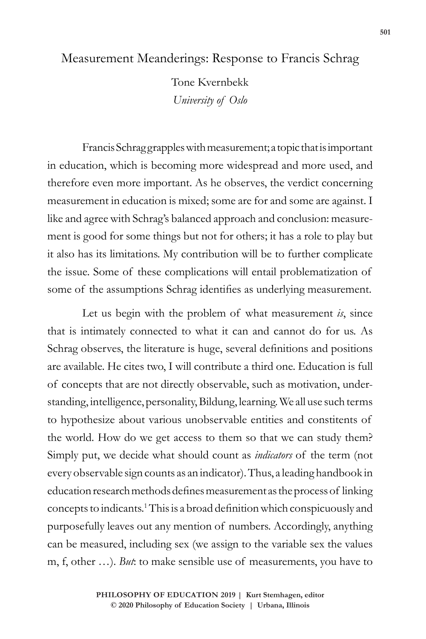## Measurement Meanderings: Response to Francis Schrag

Tone Kvernbekk *University of Oslo*

Francis Schrag grapples with measurement; a topic that is important in education, which is becoming more widespread and more used, and therefore even more important. As he observes, the verdict concerning measurement in education is mixed; some are for and some are against. I like and agree with Schrag's balanced approach and conclusion: measurement is good for some things but not for others; it has a role to play but it also has its limitations. My contribution will be to further complicate the issue. Some of these complications will entail problematization of some of the assumptions Schrag identifies as underlying measurement.

Let us begin with the problem of what measurement *is*, since that is intimately connected to what it can and cannot do for us. As Schrag observes, the literature is huge, several definitions and positions are available. He cites two, I will contribute a third one. Education is full of concepts that are not directly observable, such as motivation, understanding, intelligence, personality, Bildung, learning. We all use such terms to hypothesize about various unobservable entities and constitents of the world. How do we get access to them so that we can study them? Simply put, we decide what should count as *indicators* of the term (not every observable sign counts as an indicator). Thus, a leading handbook in education research methods defines measurement as the process of linking concepts to indicants.1This is a broad definition which conspicuously and purposefully leaves out any mention of numbers. Accordingly, anything can be measured, including sex (we assign to the variable sex the values m, f, other …). *But*: to make sensible use of measurements, you have to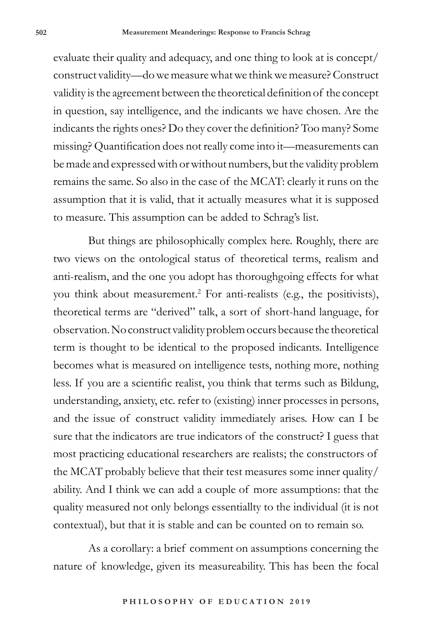evaluate their quality and adequacy, and one thing to look at is concept/ construct validity—do we measure what we think we measure? Construct validity is the agreement between the theoretical definition of the concept in question, say intelligence, and the indicants we have chosen. Are the indicants the rights ones? Do they cover the definition? Too many? Some missing? Quantification does not really come into it—measurements can be made and expressed with or without numbers, but the validity problem remains the same. So also in the case of the MCAT: clearly it runs on the assumption that it is valid, that it actually measures what it is supposed to measure. This assumption can be added to Schrag's list.

But things are philosophically complex here. Roughly, there are two views on the ontological status of theoretical terms, realism and anti-realism, and the one you adopt has thoroughgoing effects for what you think about measurement.2 For anti-realists (e.g., the positivists), theoretical terms are "derived" talk, a sort of short-hand language, for observation. No construct validity problem occurs because the theoretical term is thought to be identical to the proposed indicants. Intelligence becomes what is measured on intelligence tests, nothing more, nothing less. If you are a scientific realist, you think that terms such as Bildung, understanding, anxiety, etc. refer to (existing) inner processes in persons, and the issue of construct validity immediately arises. How can I be sure that the indicators are true indicators of the construct? I guess that most practicing educational researchers are realists; the constructors of the MCAT probably believe that their test measures some inner quality/ ability. And I think we can add a couple of more assumptions: that the quality measured not only belongs essentiallty to the individual (it is not contextual), but that it is stable and can be counted on to remain so.

As a corollary: a brief comment on assumptions concerning the nature of knowledge, given its measureability. This has been the focal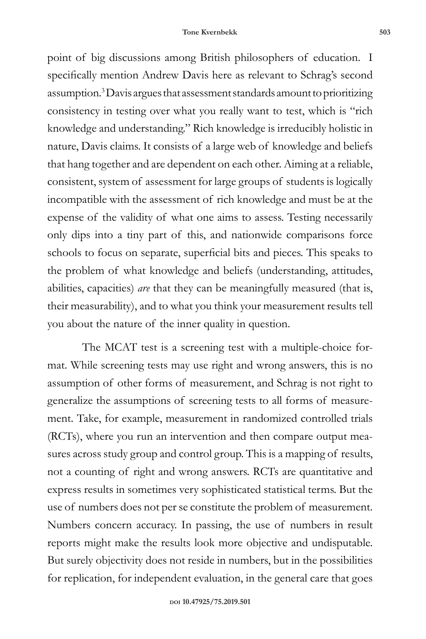point of big discussions among British philosophers of education. I specifically mention Andrew Davis here as relevant to Schrag's second assumption.3 Davis argues that assessment standards amount to prioritizing consistency in testing over what you really want to test, which is "rich knowledge and understanding." Rich knowledge is irreducibly holistic in nature, Davis claims. It consists of a large web of knowledge and beliefs that hang together and are dependent on each other. Aiming at a reliable, consistent, system of assessment for large groups of students is logically incompatible with the assessment of rich knowledge and must be at the expense of the validity of what one aims to assess. Testing necessarily only dips into a tiny part of this, and nationwide comparisons force schools to focus on separate, superficial bits and pieces. This speaks to the problem of what knowledge and beliefs (understanding, attitudes, abilities, capacities) *are* that they can be meaningfully measured (that is, their measurability), and to what you think your measurement results tell you about the nature of the inner quality in question.

The MCAT test is a screening test with a multiple-choice format. While screening tests may use right and wrong answers, this is no assumption of other forms of measurement, and Schrag is not right to generalize the assumptions of screening tests to all forms of measurement. Take, for example, measurement in randomized controlled trials (RCTs), where you run an intervention and then compare output measures across study group and control group. This is a mapping of results, not a counting of right and wrong answers. RCTs are quantitative and express results in sometimes very sophisticated statistical terms. But the use of numbers does not per se constitute the problem of measurement. Numbers concern accuracy. In passing, the use of numbers in result reports might make the results look more objective and undisputable. But surely objectivity does not reside in numbers, but in the possibilities for replication, for independent evaluation, in the general care that goes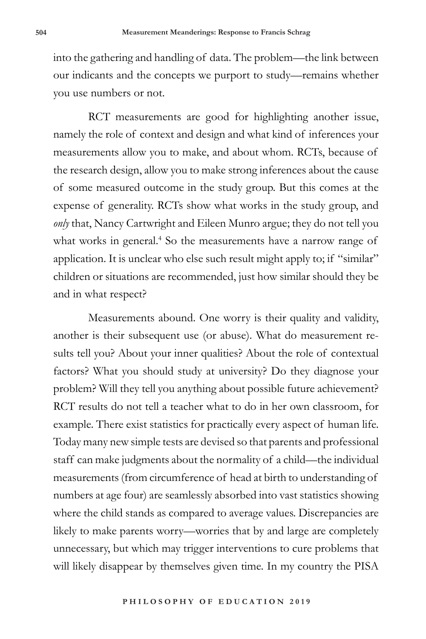into the gathering and handling of data. The problem—the link between our indicants and the concepts we purport to study—remains whether you use numbers or not.

RCT measurements are good for highlighting another issue, namely the role of context and design and what kind of inferences your measurements allow you to make, and about whom. RCTs, because of the research design, allow you to make strong inferences about the cause of some measured outcome in the study group. But this comes at the expense of generality. RCTs show what works in the study group, and *only* that, Nancy Cartwright and Eileen Munro argue; they do not tell you what works in general.<sup>4</sup> So the measurements have a narrow range of application. It is unclear who else such result might apply to; if "similar" children or situations are recommended, just how similar should they be and in what respect?

Measurements abound. One worry is their quality and validity, another is their subsequent use (or abuse). What do measurement results tell you? About your inner qualities? About the role of contextual factors? What you should study at university? Do they diagnose your problem? Will they tell you anything about possible future achievement? RCT results do not tell a teacher what to do in her own classroom, for example. There exist statistics for practically every aspect of human life. Today many new simple tests are devised so that parents and professional staff can make judgments about the normality of a child—the individual measurements (from circumference of head at birth to understanding of numbers at age four) are seamlessly absorbed into vast statistics showing where the child stands as compared to average values. Discrepancies are likely to make parents worry—worries that by and large are completely unnecessary, but which may trigger interventions to cure problems that will likely disappear by themselves given time. In my country the PISA